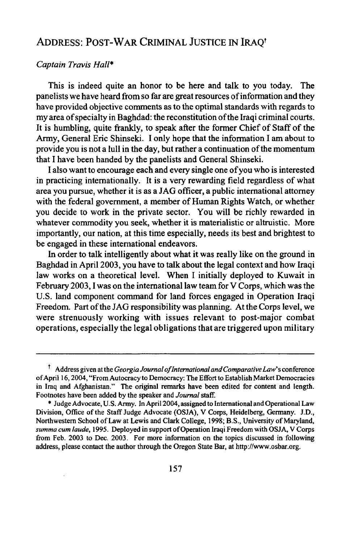## ADDRESS: POST-WAR CRIMINAL JUSTICE IN IRAQt

## *Captain Travis Hall\**

This is indeed quite an honor to be here and talk to you today. The panelists we have heard from so far are great resources of information and they have provided objective comments as to the optimal standards with regards to my area of specialty in Baghdad: the reconstitution of the Iraqi criminal courts. It is humbling, quite frankly, to speak after the former Chief of Staff of the Army, General Eric Shinseki. I only hope that the information I am about to provide you is not a lull in the day, but rather a continuation of the momentum that I have been handed by the panelists and General Shinseki.

I also want to encourage each and every single one of you who is interested in practicing internationally. It is a very rewarding field regardless of what area you pursue, whether it is as a JAG officer, a public international attorney with the federal government, a member of Human Rights Watch, or whether you decide to work in the private sector. You will be richly rewarded in whatever commodity you seek, whether it is materialistic or altruistic. More importantly, our nation, at this time especially, needs its best and brightest to be engaged in these international endeavors.

In order to talk intelligently about what it was really like on the ground in Baghdad in April 2003, you have to talk about the legal context and how Iraqi law works on a theoretical level. When I initially deployed to Kuwait in February 2003, **1** was on the international law team for V Corps, which was the U.S. land component command for land forces engaged in Operation Iraqi Freedom. Part of the JAG responsibility was planning. At the Corps level, we were strenuously working with issues relevant to post-major combat operations, especially the legal obligations that are triggered upon military

**<sup>1</sup>** Address given at the *Georgia Journal oflnternational and Comparative Law's* conference of April 16,2004, "From Autocracy to Democracy: The Effort to Establish Market Democracies in Iraq and Afghanistan." The original remarks have been edited for content and length. Footnotes have been added by the speaker and *Journal* staff.

<sup>\*</sup> Judge Advocate, U.S. Army. In April 2004, assigned to International and Operational Law Division, Office of the Staff Judge Advocate (OSJA), V Corps, Heidelberg, Germany. J.D., Northwestern School of Law at Lewis and Clark College, 1998; B.S., University of Maryland, summa cum laude, 1995. Deployed in support of Operation Iraqi Freedom with OSJA, V Corps from Feb. 2003 to Dec. 2003. For more information on the topics discussed in following address, please contact the author through the Oregon State Bar, at http://www.osbar.org.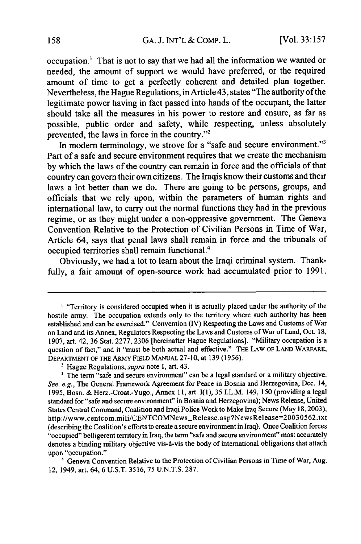occupation.' That is not to say that we had all the information we wanted or needed, the amount of support we would have preferred, or the required amount of time to get a perfectly coherent and detailed plan together. Nevertheless, the Hague Regulations, in Article 43, states "The authority of the legitimate power having in fact passed into hands of the occupant, the latter should take all the measures in his power to restore and ensure, as far as possible, public order and safety, while respecting, unless absolutely prevented, the laws in force in the country."<sup>2</sup>

In modern terminology, we strove for a "safe and secure environment."<sup>3</sup> Part of a safe and secure environment requires that we create the mechanism **by** which the laws of the country can remain in force and the officials of that country can govern their own citizens. The Iraqis know their customs and their laws a lot better than we do. There are going to be persons, groups, and officials that we rely upon, within the parameters of human rights and international law, to carry out the normal functions they had in the previous regime, or as they might under a non-oppressive government. The Geneva Convention Relative to the Protection of Civilian Persons in Time of War, Article 64, says that penal laws shall remain in force and the tribunals of occupied territories shall remain functional.4

Obviously, we had a lot to learn about the Iraqi criminal system. Thankfully, a fair amount of open-source work had accumulated prior to 1991.

<sup>&</sup>lt;sup>1</sup> "Territory is considered occupied when it is actually placed under the authority of the hostile army. The occupation extends only to the territory where such authority has been established and can be exercised." Convention (IV) Respecting the Laws and Customs of War on Land and its Annex, Regulators Respecting the Laws and Customs of War of Land, Oct. **18,** 1907, art. 42, 36 Stat. 2277, 2306 [hereinafter Hague Regulations]. "Military occupation is a question of fact," and it "must be both actual and effective." THE LAW OF **LAND** WARFARE, DEPARTMENT OF THE ARMY FIELD MANUAL 27-10, at 139 (1956).

**<sup>2</sup>**Hague Regulations, *supra* note **1,** art. 43.

<sup>&</sup>lt;sup>3</sup> The term "safe and secure environment" can be a legal standard or a military objective. *See, e.g.,* The General Framework Agreement for Peace in Bosnia and Herzegovina, Dec. 14, 1995, Bosn. & Herz.-Croat.-Yugo., Annex 11, art. **I(1), 35** I.L.M. 149, **150** (providing a legal standard for "safe and secure environment" in Bosnia and Herzegovina); News Release, United States Central Command, Coalition and Iraqi Police Work to Make Iraq Secure (May 18,2003), http://www.centcom.mili/CENTCOMNews-Release.asp?NewsRelease=20030562.txt (describing the Coalition's efforts to create a secure environment in Iraq). Once Coalition forces "occupied" belligerent territory in Iraq, the term "safe and secure environment" most accurately denotes a binding military objective vis-à-vis the body of international obligations that attach upon "occupation."

**<sup>&#</sup>x27;** Geneva Convention Relative to the Protection of Civilian Persons in Time of War, Aug. 12, 1949, art. 64, 6 U.S.T. 3516, **75** U.N.T.S. 287.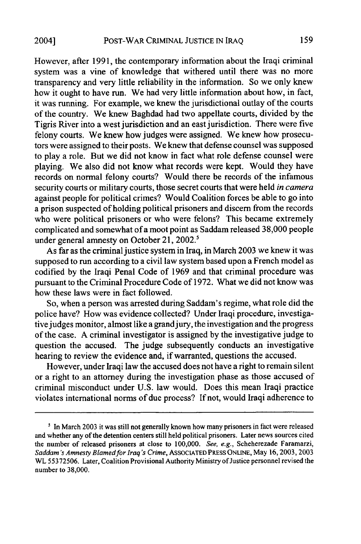However, after 1991, the contemporary information about the Iraqi criminal system was a vine of knowledge that withered until there was no more transparency and very little reliability in the information. So we only knew how it ought to have run. We had very little information about how, in fact, it was running. For example, we knew the jurisdictional outlay of the courts of the country. We knew Baghdad had two appellate courts, divided by the Tigris River into a west jurisdiction and an east jurisdiction. There were five felony courts. We knew how judges were assigned. We knew how prosecutors were assigned to their posts. We knew that defense counsel was supposed to play a role. But we did not know in fact what role defense counsel were playing. We also did not know what records were kept. Would they have records on normal felony courts? Would there be records of the infamous security courts or military courts, those secret courts that were held *in camera* against people for political crimes? Would Coalition forces be able to go into a prison suspected of holding political prisoners and discern from the records who were political prisoners or who were felons? This became extremely complicated and somewhat of a moot point as Saddam released 38,000 people under general amnesty on October 21, 2002.<sup>5</sup>

As far as the criminal justice system in Iraq, in March 2003 we knew it was supposed to run according to a civil law system based upon a French model as codified by the Iraqi Penal Code of 1969 and that criminal procedure was pursuant to the Criminal Procedure Code of 1972. What we did not know was how these laws were in fact followed.

So, when a person was arrested during Saddam's regime, what role did the police have? How was evidence collected? Under Iraqi procedure, investigative judges monitor, almost like a grandjury, the investigation and the progress of the case. A criminal investigator is assigned by the investigative judge to question the accused. The judge subsequently conducts an investigative hearing to review the evidence and, if warranted, questions the accused.

However, under Iraqi law the accused does not have a right to remain silent or a right to an attorney during the investigation phase as those accused of criminal misconduct under U.S. law would. Does this mean Iraqi practice violates international norms of due process? If not, would Iraqi adherence to

<sup>&</sup>lt;sup>5</sup> In March 2003 it was still not generally known how many prisoners in fact were released and whether any of the detention centers still held political prisoners. Later news sources cited the number of released prisoners at close to 100,000. *See, e.g.,* Scheherezade Faramarzi, *Saddam 's Amnesty Blamedfor Iraq"s Crime,* ASSOCIATED PRESS ONLINE, May 16,2003, 2003 WL 55372506. Later, Coalition Provisional Authority Ministry of Justice personnel revised the number to 38,000.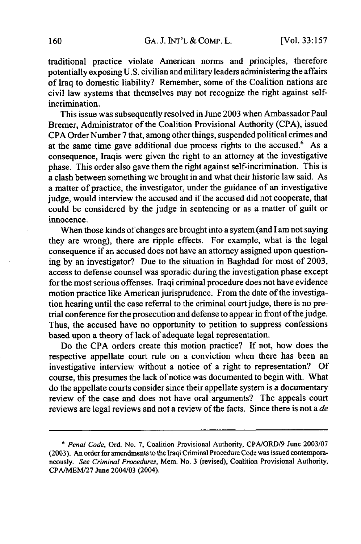traditional practice violate American norms and principles, therefore potentially exposing U.S. civilian and military leaders administering the affairs of Iraq to domestic liability? Remember, some of the Coalition nations are civil law systems that themselves may not recognize the right against selfincrimination.

This issue was subsequently resolved in June **2003** when Ambassador Paul Bremer, Administrator of the Coalition Provisional Authority **(CPA),** issued **CPA** Order Number **7** that, among other things, suspended political crimes and at the same time gave additional due process rights to the accused.<sup>6</sup> As a consequence, Iraqis were given the right to an attorney at the investigative phase. This order also gave them the right against self-incrimination. This is a clash between something we brought in and what their historic law said. As a matter of practice, the investigator, under the guidance of an investigative judge, would interview the accused and if the accused did not cooperate, that could **be** considered **by** the judge in sentencing or as a matter of guilt or innocence.

When those kinds of changes are brought into a system (and **I** am not saying they are wrong), there are ripple effects. For example, what is the legal consequence if an accused does not have an attorney assigned upon questioning by an investigator? Due to the situation in Baghdad for most of 2003, access to defense counsel was sporadic during the investigation phase except for the most serious offenses. Iraqi criminal procedure does not have evidence motion practice like American jurisprudence. From the date of the investigation hearing until the case referral to the criminal court judge, there is no pretrial conference for the prosecution and defense to appear in front of the judge. Thus, the accused have no opportunity to petition to suppress confessions based upon a theory of lack of adequate legal representation.

Do the CPA orders create this motion practice? If not, how does the respective appellate court rule on a conviction when there has been an investigative interview without a notice of a right to representation? Of course, this presumes the lack of notice was documented to begin with. What do the appellate courts consider since their appellate system is a documentary review of the case and does not have oral arguments? The appeals court reviews are legal reviews and not a review of the facts. Since there is not a *de*

*<sup>6</sup> Penal Code,* Ord. No. **7,** Coalition Provisional Authority, CPA/ORD/9 June 2003/07 (2003). An order for amendments to the Iraqi Criminal Procedure Code was issued contemporaneously. *See Criminal Procedures,* Mem. No. 3 (revised), Coalition Provisional Authority, CPA/MEM/27 June 2004/03 (2004).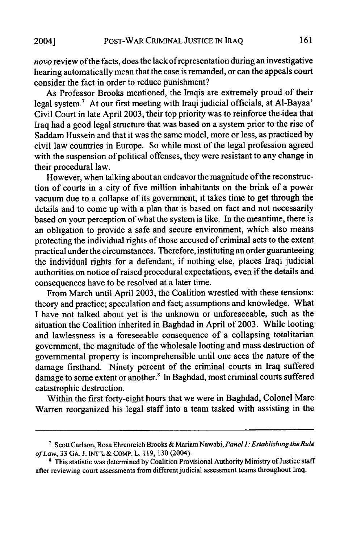novo review of the facts, does the lack of representation during an investigative hearing automatically mean that the case is remanded, or can the appeals court consider the fact in order to reduce punishment?

As Professor Brooks mentioned, the Iraqis are extremely proud of their legal system.7 At our first meeting with Iraqi judicial officials, at AI-Bayaa' Civil Court in late April 2003, their top priority was to reinforce the-idea that Iraq had a good legal structure that was based on a system prior to the rise of Saddam Hussein and that it was the same model, more or less, as practiced by civil law countries in Europe. So while most of the legal profession agreed with the suspension of political offenses, they were resistant to any change in their procedural law.

However, when talking about an endeavor the magnitude of the reconstruction of courts in a city of five million inhabitants on the brink of a power vacuum due to a collapse of its government, it takes time to get through the details and to come up with a plan that is based on fact and not necessarily based on your perception of what the system is like. In the meantime, there is an obligation to provide a safe and secure environment, which also means protecting the individual rights of those accused of criminal acts to the extent practical under the circumstances. Therefore, instituting an order guaranteeing the individual rights for a defendant, if nothing else, places Iraqi judicial authorities on notice of raised procedural expectations, even if the details and consequences have to be resolved at a later time.

From March until April 2003, the Coalition wrestled with these tensions: theory and practice; speculation and fact; assumptions and knowledge. What I have not talked about yet is the unknown or unforeseeable, such as the situation the Coalition inherited in Baghdad in April of 2003. While looting and lawlessness is a foreseeable consequence of a collapsing totalitarian government, the magnitude of the wholesale looting and mass destruction of governmental property is incomprehensible until one sees the nature of the damage firsthand. Ninety percent of the criminal courts in Iraq suffered damage to some extent or another.<sup>8</sup> In Baghdad, most criminal courts suffered catastrophic destruction.

Within the first forty-eight hours that we were in Baghdad, Colonel Marc Warren reorganized his legal staff into a team tasked with assisting in the

*<sup>7</sup>* Scott Carlson, Rosa Ehrenreich Brooks& MariamNawabi, *Panel 1: Establishing theRule of Law,* 33 GA. J. INT'L & COMP. L. 119, 130 (2004).

<sup>&</sup>lt;sup>8</sup> This statistic was determined by Coalition Provisional Authority Ministry of Justice staff after reviewing court assessments from different judicial assessment teams throughout Iraq.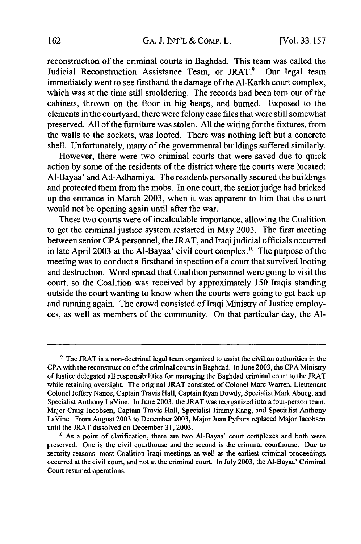reconstruction of the criminal courts in Baghdad. This team was called the Judicial Reconstruction Assistance Team, or JRAT.<sup>9</sup> Our legal team immediately went to see firsthand the damage of the Al-Karkh court complex, which was at the time still smoldering. The records had been **torn** out of the cabinets, thrown on the floor in big heaps, and burned. Exposed to the elements in the courtyard, there were felony case files that were still somewhat preserved. **All** of the furniture was stolen. **All** the wiring for the fixtures, from the walls to the sockets, was looted. There was nothing left but a concrete shell. Unfortunately, many of the governmental buildings suffered similarly.

However, there were two criminal courts that were saved due to quick action **by** some of the residents of the district where the courts were located: Al-Bayaa' and Ad-Adhamiya. The residents personally secured the buildings and protected them from the mobs. In one court, the senior judge had bricked up the entrance in March **2003,** when it was apparent to him that the court would not be opening again until after the war.

These two courts were of incalculable importance, allowing the Coalition to get the criminal justice system restarted in May 2003. The first meeting between senior CPA personnel, the JRAT, and Iraqi judicial officials occurred in late April 2003 at the Al-Bayaa' civil court complex."° The purpose of the meeting was to conduct a firsthand inspection of a court that survived looting and destruction. Word spread that Coalition personnel were going to visit the court, so the Coalition was received by approximately 150 Iraqis standing outside the court wanting to know when the courts were going to get back up and running again. The crowd consisted of Iraqi Ministry of Justice employees, as well as members of the community. On that particular day, the **Al-**

<sup>9</sup> The JRAT is a non-doctrinal legal team organized to assist the civilian authorities in the CPA with the reconstruction of the criminal courts in Baghdad. In June 2003, the CPA Ministry of Justice delegated all responsibilities for managing the Baghdad criminal court to the JRAT while retaining oversight. The original JRAT consisted of Colonel Marc Warren, Lieutenant Colonel Jeffery Nance, Captain Travis Hall, Captain Ryan Dowdy, Specialist Mark Abueg, and Specialist Anthony LaVine. In June 2003, the JRAT was reorganized into a four-person team: Major Craig Jacobsen, Captain Travis Hall, Specialist Jimmy Kang, and Specialist Anthony LaVine. From August 2003 to December 2003, Major Juan Pyfrom replaced Major Jacobsen until the JRAT dissolved on December 31,2003.

<sup>&</sup>lt;sup>10</sup> As a point of clarification, there are two Al-Bayaa' court complexes and both were preserved. One is the civil courthouse and the second is the criminal courthouse. Due to security reasons, most Coalition-Iraqi meetings as well as the earliest criminal proceedings occurred at the civil court, and not at the criminal court. In July 2003, the Al-Bayaa' Criminal Court resumed operations.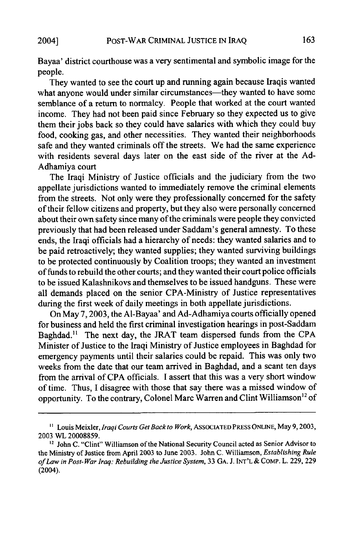Bayaa' district courthouse was a very sentimental and symbolic image for the people.

They wanted to see the court up and running again because Iraqis wanted what anyone would under similar circumstances—they wanted to have some semblance of a return to normalcy. People that worked at the court wanted income. They had not been paid since February so they expected us to give them their jobs back so they could have salaries with which they could buy food, cooking gas, and other necessities. They wanted their neighborhoods safe and they wanted criminals off the streets. We had the same experience with residents several days later on the east side of the river at the Ad-Adhamiya court

The Iraqi Ministry of Justice officials and the judiciary from the two appellate jurisdictions wanted to immediately remove the criminal elements from the streets. Not only were they professionally concerned for the safety of their fellow citizens and property, but they also were personally concerned about their own safety since many of the criminals were people they convicted previously that had been released under Saddam's general amnesty. To these ends, the Iraqi officials had a hierarchy of needs: they wanted salaries and to be paid retroactively; they wanted supplies; they wanted surviving buildings to be protected continuously by Coalition troops; they wanted an investment of funds to rebuild the other courts; and they wanted their court police officials to be issued Kalashnikovs and themselves to be issued handguns. These were all demands placed on the senior CPA-Ministry of Justice representatives during the first week of daily meetings in both appellate jurisdictions.

On May 7, 2003, the AI-Bayaa' and Ad-Adhamiya courts officially opened for business and held the first criminal investigation hearings in post-Saddam Baghdad." The next day, the JRAT team dispersed funds from the CPA Minister of Justice to the Iraqi Ministry of Justice employees in Baghdad for emergency payments until their salaries could be repaid. This was only two weeks from the date that our team arrived in Baghdad, and a scant ten days from the arrival of CPA officials. I assert that this was a very short window of time. Thus, I disagree with those that say there was a missed window of opportunity. To the contrary, Colonel Marc Warren and Clint Williamson<sup>12</sup> of

**<sup>&</sup>quot;** Louis Meixler, *Iraqi Courts Get Back to Work,* ASSOCIATED PRESS **ONLINE,** May 9,2003, 2003 WL 20008859. 12 John C. "Clint" Williamson of the National Security Council acted as Senior Advisor to

the Ministry of Justice from April 2003 to June 2003. John C. Williamson, *Establishing Rule of Law in Post- War Iraq: Rebuilding the Justice System,* 33 **GA.** J. INT'L & COMP. L. 229, 229 (2004).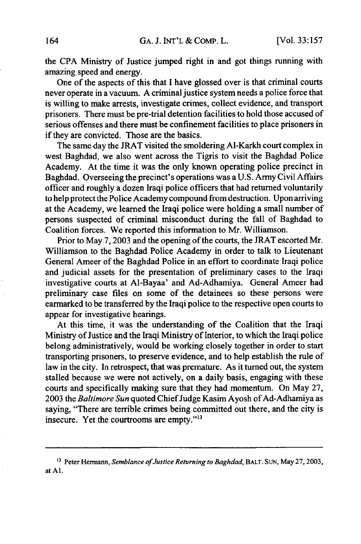the CPA Ministry of Justice jumped right in and got things running with amazing speed and energy.

One of the aspects of this that I have glossed over is that criminal courts never operate in a vacuum. A criminal justice system needs a police force that is willing to make arrests, investigate crimes, collect evidence, and transport prisoners. There must be pre-trial detention facilities to hold those accused of serious offenses and there must be confinement facilities to place prisoners in if they are convicted. Those are the basics.

The same day the JRAT visited the smoldering Al-Karkh court complex in west Baghdad, we also went across the Tigris to visit the Baghdad Police Academy. At the time it was the only known operating police precinct in Baghdad. Overseeing the precinct's operations was a U.S. Army Civil Affairs officer and roughly a dozen Iraqi police officers that had returned voluntarily to help protect the Police Academy compound from destruction. Upon arriving at the Academy, we learned the Iraqi police were holding a small number of persons suspected of criminal misconduct during the fall of Baghdad to Coalition forces. We reported this information to Mr. Williamson.

Prior to May 7, 2003 and the opening of the courts, the JRAT escorted Mr. Williamson to the Baghdad Police Academy in order to talk to Lieutenant General Ameer of the Baghdad Police in an effort to coordinate Iraqi police and judicial assets for the presentation of preliminary cases to the Iraqi investigative courts at Al-Bayaa' and Ad-Adhamiya. General Ameer had preliminary case files on some of the detainees so these persons were earmarked to be transferred by the Iraqi police to the respective open courts to appear for investigative hearings.

At this time, it was the understanding of the Coalition that the Iraqi Ministry of Justice and the Iraqi Ministry of Interior, to which the Iraqi police belong administratively, would be working closely together in order to start transporting prisoners, to preserve evidence, and to help establish the rule of law in the city. In retrospect, that was premature. As it turned out, the system stalled because we were not actively, on a daily basis, engaging with these courts and specifically making sure that they had momentum. On May 27, 2003 the *Baltimore Sun* quoted Chief Judge Kasim Ayosh of Ad-Adhamiya as saying, "There are terrible crimes being committed out there, and the city is insecure. Yet the courtrooms are empty."<sup>13</sup>

<sup>13</sup> Peter Hermann, *Semblance of Justice Returning to Baghdad,* BALT. SUN, May **27, 2003,** at **Al.**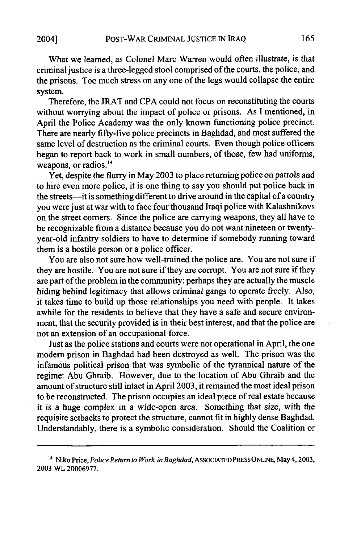What we learned, as Colonel Marc Warren would often illustrate, is that criminal justice is a three-legged stool comprised of the courts, the police, and the prisons. Too much stress on any one of the legs would collapse the entire system.

Therefore, the JRAT and CPA could not focus on reconstituting the courts without worrying about the impact of police or prisons. As I mentioned, in April the Police Academy was the only known functioning police precinct. There are nearly fifty-five police precincts in Baghdad, and most suffered the same level of destruction as the criminal courts. Even though police officers began to report back to work in small numbers, of those, few had uniforms, weapons, or radios.<sup>14</sup>

Yet, despite the flurry in May 2003 to place returning police on patrols and to hire even more police, it is one thing to say you should put police back in the streets-it is something different to drive around in the capital of a country you were just at war with to face four thousand Iraqi police with Kalashnikovs on the street comers. Since the police are carrying weapons, they all have to be recognizable from a distance because you do not want nineteen or twentyyear-old infantry soldiers to have to determine if somebody running toward them is a hostile person or a police officer.

You are also not sure how well-trained the police are. You are not sure if they are hostile. You are not sure if they are corrupt. You are not sure if they are part of the problem in the community: perhaps they are actually the muscle hiding behind legitimacy that allows criminal gangs to operate freely. Also, it takes time to build up those relationships you need with people. It takes awhile for the residents to believe that they have a safe and secure environment, that the security provided is in their best interest, and that the police are not an extension of an occupational force.

Just as the police stations and courts were not operational in April, the one modem prison in Baghdad had been destroyed as well. The prison was the infamous political prison that was symbolic of the tyrannical nature of the regime: Abu Ghraib. However, due to the location of Abu Ghraib and the amount of structure still intact in April 2003, it remained the most ideal prison to be reconstructed. The prison occupies an ideal piece of real estate because it is a huge complex in a wide-open area. Something that size, with the requisite setbacks to protect the structure, cannot fit in highly dense Baghdad. Understandably, there is a symbolic consideration. Should the Coalition or

**<sup>&</sup>quot;4** Niko Price, *Police Return to Work in Baghdad,* ASSOCIATED PRESS ONLINE, May 4,2003, 2003 WL 20006977.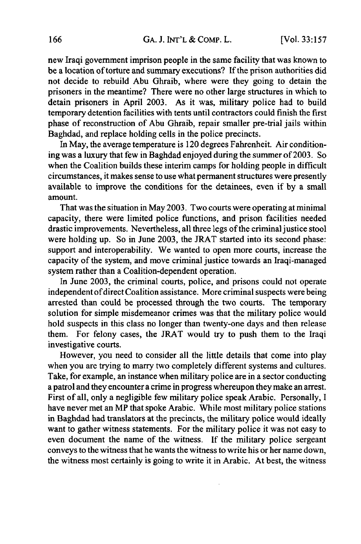new Iraqi government imprison people in the same facility that was known to be a location of torture and summary executions? If the prison authorities did not decide to rebuild Abu Ghraib, where were they going to detain the prisoners in the meantime? There were no other large structures in which to detain prisoners in April 2003. As it was, military police had to build temporary detention facilities with tents until contractors could finish the first phase of reconstruction of Abu Ghraib, repair smaller pre-trial jails within Baghdad, and replace holding cells in the police precincts.

In May, the average temperature is 120 degrees Fahrenheit. Air conditioning was a luxury that few in Baghdad enjoyed during the summer of 2003. So when the Coalition builds these interim camps for holding people in difficult circumstances, it makes sense to use what permanent structures were presently available to improve the conditions for the detainees, even if by a small amount.

That was the situation in May 2003. Two courts were operating at minimal capacity, there were limited police functions, and prison facilities needed drastic improvements. Nevertheless, all three legs of the criminal justice stool were holding up. So in June 2003, the JRAT started into its second phase: support and interoperability. We wanted to open more courts, increase the capacity of the system, and move criminal justice towards an Iraqi-managed system rather than a Coalition-dependent operation.

In June 2003, the criminal courts, police, and prisons could not operate independent of direct Coalition assistance. More criminal suspects were being arrested than could be processed through the two courts. The temporary solution for simple misdemeanor crimes was that the military police would hold suspects in this class no longer than twenty-one days and then release them. For felony cases, the JRAT would try to push them to the Iraqi investigative courts.

However, you need to consider all the little details that come into play when you are trying to marry two completely different systems and cultures. Take, for example, an instance when military police are in a sector conducting a patrol and they encounter a crime in progress whereupon they make an arrest. First of all, only a negligible few military police speak Arabic. Personally, I have never met an MP that spoke Arabic. While most military police stations in Baghdad had translators at the precincts, the military police would ideally want to gather witness statements. For the military police it was not easy to even document the name of the witness. If the military police sergeant conveys to the witness that he wants the witness to write his or her name down, the witness most certainly is going to write it in Arabic. At best, the witness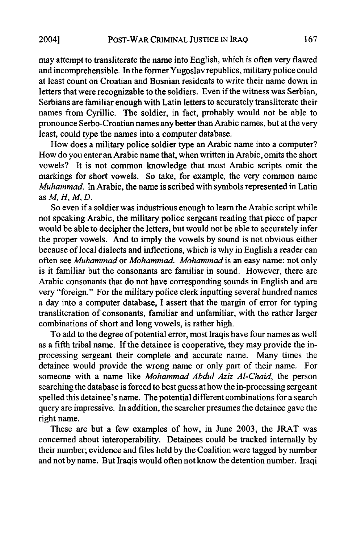may attempt to transliterate the name into English, which is often very flawed and incomprehensible. In the former Yugoslav republics, military police could at least count on Croatian and Bosnian residents to write their name down in letters that were recognizable to the soldiers. Even if the witness was Serbian, Serbians are familiar enough with Latin letters to accurately transliterate their names from Cyrillic. The soldier, in fact, probably would not be able to pronounce Serbo-Croatian names any better than Arabic names, but at the very least, could type the names into a computer database.

How does a military police soldier type an Arabic name into a computer? How do you enter an Arabic name that, when written in Arabic, omits the short vowels? It is not common knowledge that most Arabic scripts omit the markings for short vowels. So take, for example, the very common name *Muhammad.* In Arabic, the name is scribed with symbols represented in Latin *asM, H,M,D.*

So even if a soldier was industrious enough to learn the Arabic script while not speaking Arabic, the military police sergeant reading that piece of paper would be able to decipher the letters, but would not be able to accurately infer the proper vowels. And to imply the vowels by sound is not obvious either because of local dialects and inflections, which is why in English a reader can often see *Muhammad* or *Mohammad. Mohammad* is an easy name: not only is it familiar but the consonants are familiar in sound. However, there are Arabic consonants that do not have corresponding sounds in English and are very "foreign." For the military police clerk inputting several hundred names a day into a computer database, I assert that the margin of error for typing transliteration of consonants, familiar and unfamiliar, with the rather larger combinations of short and long vowels, is rather high.

To add to the degree of potential error, most Iraqis have four names as well as a fifth tribal name. If the detainee is cooperative, they may provide the inprocessing sergeant their complete and accurate name. Many times the detainee would provide the wrong name or only part of their name. For someone with a name like *Mohammad Abdul Aziz Al-Chaid,* the person searching the database is forced to best guess at how the in-processing sergeant spelled this detainee's name. The potential different combinations for a search query are impressive. In addition, the searcher presumes the detainee gave the right name.

These are but a few examples of how, in June 2003, the JRAT was concerned about interoperability. Detainees could be tracked internally by their number; evidence and files held by the Coalition were tagged by number and not by name. But Iraqis would often not know the detention number. Iraqi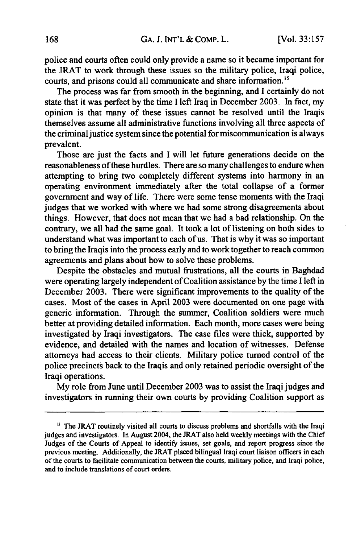police and courts often could only provide a name so it became important for the JRAT to work through these issues so the military police, Iraqi police, courts, and prisons could all communicate and share information."

The process was far from smooth in the beginning, and I certainly do not state that it was perfect **by** the time I left Iraq in December **2003.** In fact, my opinion is that many of these issues cannot be resolved until the Iraqis themselves assume all administrative functions involving all three aspects of the criminal justice system since the potential for miscommunication is always prevalent.

Those are just the facts and I will let future generations decide on the reasonableness of these hurdles. There are so many challenges to endure when attempting to bring two completely different systems into harmony in an operating environment immediately after the total collapse of a former government and way of life. There were some tense moments with the Iraqi judges that we worked with where we had some strong disagreements about things. However, that does not mean that we had a bad relationship. On the contrary, we all had the same goal. It took a lot of listening on both sides to understand what was important to each of us. That is why it was so important to bring the Iraqis into the process early and to work together to reach common agreements and plans about how to solve these problems.

Despite the obstacles and mutual frustrations, all the courts in Baghdad were operating largely independent of Coalition assistance by the time I left in December 2003. There were significant improvements to the quality of the cases. Most of the cases in April 2003 were documented on one page with generic information. Through the summer, Coalition soldiers were much better at providing detailed information. Each month, more cases were being investigated by Iraqi investigators. The case files were thick, supported by evidence, and detailed with the names and location of witnesses. Defense attorneys had access to their clients. Military police turned control of the police precincts back to the Iraqis and only retained periodic oversight of the Iraqi operations.

My role from June until December 2003 was to assist the Iraqi judges and investigators in running their own courts by providing Coalition support as

<sup>&</sup>lt;sup>15</sup> The JRAT routinely visited all courts to discuss problems and shortfalls with the Iraqi judges and investigators. In August 2004, the JRAT also held weekly meetings with the Chief Judges of the Courts of Appeal to identify issues, set goals, and report progress since the previous meeting. Additionally, the JRAT placed bilingual Iraqi court liaison officers in each of the courts to facilitate communication between the courts, military police, and Iraqi police, and to include translations of court orders.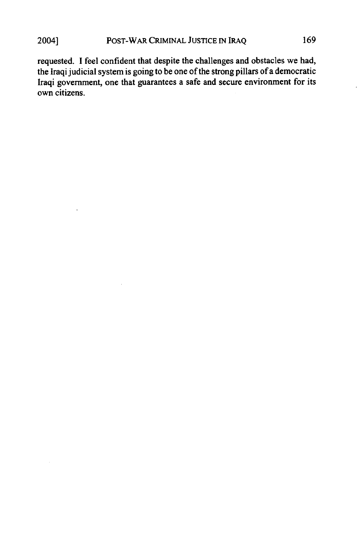requested. I feel confident that despite the challenges and obstacles we had, the Iraqi judicial system is going to be one of the strong pillars of a democratic Iraqi government, one that guarantees a safe and secure environment for its own citizens.

 $\overline{\phantom{a}}$